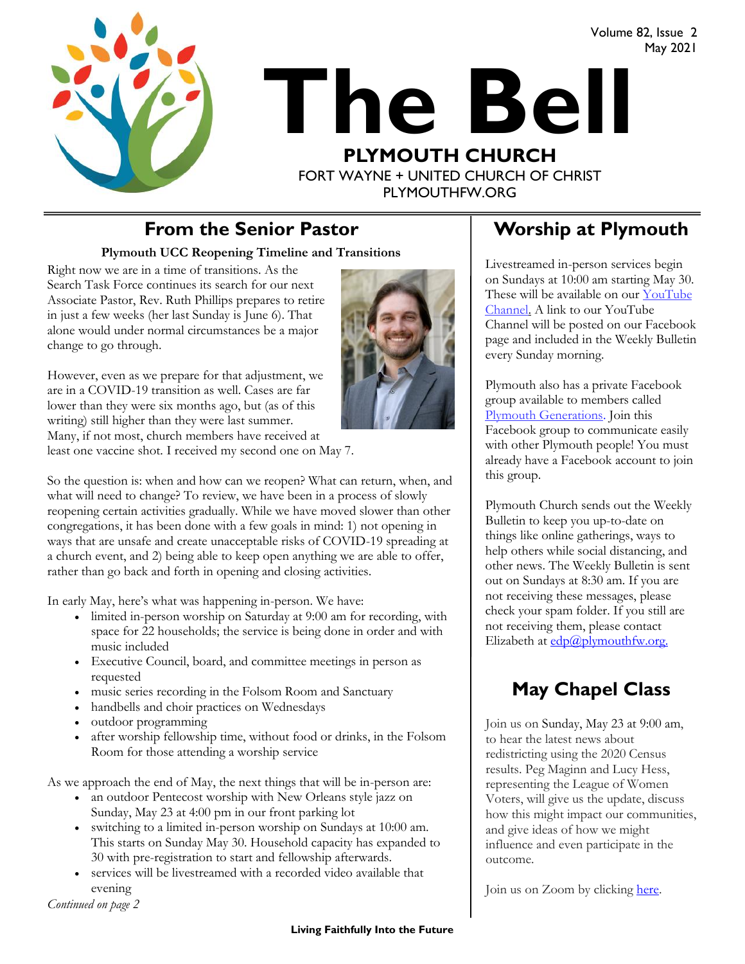Volume 82, Issue 2 May 2021





PLYMOUTHFW.ORG

### **From the Senior Pastor**  Worship at Plymouth

**Plymouth UCC Reopening Timeline and Transitions**

Right now we are in a time of transitions. As the Search Task Force continues its search for our next Associate Pastor, Rev. Ruth Phillips prepares to retire in just a few weeks (her last Sunday is June 6). That alone would under normal circumstances be a major change to go through.

However, even as we prepare for that adjustment, we are in a COVID-19 transition as well. Cases are far lower than they were six months ago, but (as of this writing) still higher than they were last summer. Many, if not most, church members have received at least one vaccine shot. I received my second one on May 7.

So the question is: when and how can we reopen? What can return, when, and what will need to change? To review, we have been in a process of slowly reopening certain activities gradually. While we have moved slower than other congregations, it has been done with a few goals in mind: 1) not opening in ways that are unsafe and create unacceptable risks of COVID-19 spreading at a church event, and 2) being able to keep open anything we are able to offer, rather than go back and forth in opening and closing activities.

In early May, here's what was happening in-person. We have:

- limited in-person worship on Saturday at 9:00 am for recording, with space for 22 households; the service is being done in order and with music included
- Executive Council, board, and committee meetings in person as requested
- music series recording in the Folsom Room and Sanctuary
- handbells and choir practices on Wednesdays
- outdoor programming
- after worship fellowship time, without food or drinks, in the Folsom Room for those attending a worship service

As we approach the end of May, the next things that will be in-person are:

- an outdoor Pentecost worship with New Orleans style jazz on Sunday, May 23 at 4:00 pm in our front parking lot
- switching to a limited in-person worship on Sundays at 10:00 am. This starts on Sunday May 30. Household capacity has expanded to 30 with pre-registration to start and fellowship afterwards.
- services will be livestreamed with a recorded video available that evening

*Continued on page 2*

Livestreamed in-person services begin on Sundays at 10:00 am starting May 30. These will be available on our [YouTube](https://www.youtube.com/plymouthchurchfw)  [Channel.](https://www.youtube.com/plymouthchurchfw) A link to our YouTube Channel will be posted on our Facebook page and included in the Weekly Bulletin every Sunday morning.

Plymouth also has a private Facebook group available to members called [Plymouth Generations.](https://www.facebook.com/groups/1487066224952817/) Join this Facebook group to communicate easily with other Plymouth people! You must already have a Facebook account to join this group.

Plymouth Church sends out the Weekly Bulletin to keep you up-to-date on things like online gatherings, ways to help others while social distancing, and other news. The Weekly Bulletin is sent out on Sundays at 8:30 am. If you are not receiving these messages, please check your spam folder. If you still are not receiving them, please contact Elizabeth at [edp@plymouthfw.org.](mailto:edp@plymouthfw.org)

# **May Chapel Class**

Join us on Sunday, May 23 at 9:00 am, to hear the latest news about redistricting using the 2020 Census results. Peg Maginn and Lucy Hess, representing the League of Women Voters, will give us the update, discuss how this might impact our communities, and give ideas of how we might influence and even participate in the outcome.

Join us on Zoom by clicking [here.](https://us02web.zoom.us/j/85263090900#success)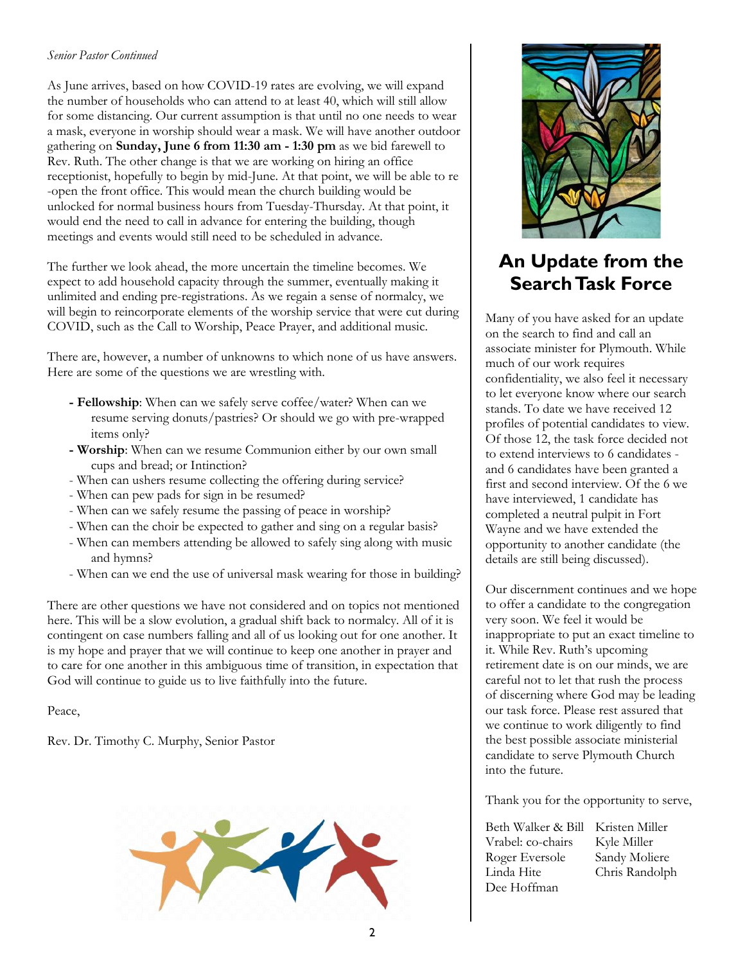#### *Senior Pastor Continued*

As June arrives, based on how COVID-19 rates are evolving, we will expand the number of households who can attend to at least 40, which will still allow for some distancing. Our current assumption is that until no one needs to wear a mask, everyone in worship should wear a mask. We will have another outdoor gathering on **Sunday, June 6 from 11:30 am - 1:30 pm** as we bid farewell to Rev. Ruth. The other change is that we are working on hiring an office receptionist, hopefully to begin by mid-June. At that point, we will be able to re -open the front office. This would mean the church building would be unlocked for normal business hours from Tuesday-Thursday. At that point, it would end the need to call in advance for entering the building, though meetings and events would still need to be scheduled in advance.

The further we look ahead, the more uncertain the timeline becomes. We expect to add household capacity through the summer, eventually making it unlimited and ending pre-registrations. As we regain a sense of normalcy, we will begin to reincorporate elements of the worship service that were cut during COVID, such as the Call to Worship, Peace Prayer, and additional music.

There are, however, a number of unknowns to which none of us have answers. Here are some of the questions we are wrestling with.

- **- Fellowship**: When can we safely serve coffee/water? When can we resume serving donuts/pastries? Or should we go with pre-wrapped items only?
- **- Worship**: When can we resume Communion either by our own small cups and bread; or Intinction?
- When can ushers resume collecting the offering during service?
- When can pew pads for sign in be resumed?
- When can we safely resume the passing of peace in worship?
- When can the choir be expected to gather and sing on a regular basis?
- When can members attending be allowed to safely sing along with music and hymns?
- When can we end the use of universal mask wearing for those in building?

There are other questions we have not considered and on topics not mentioned here. This will be a slow evolution, a gradual shift back to normalcy. All of it is contingent on case numbers falling and all of us looking out for one another. It is my hope and prayer that we will continue to keep one another in prayer and to care for one another in this ambiguous time of transition, in expectation that God will continue to guide us to live faithfully into the future.

Peace,

Rev. Dr. Timothy C. Murphy, Senior Pastor





# **An Update from the Search Task Force**

Many of you have asked for an update on the search to find and call an associate minister for Plymouth. While much of our work requires confidentiality, we also feel it necessary to let everyone know where our search stands. To date we have received 12 profiles of potential candidates to view. Of those 12, the task force decided not to extend interviews to 6 candidates and 6 candidates have been granted a first and second interview. Of the 6 we have interviewed, 1 candidate has completed a neutral pulpit in Fort Wayne and we have extended the opportunity to another candidate (the details are still being discussed).

Our discernment continues and we hope to offer a candidate to the congregation very soon. We feel it would be inappropriate to put an exact timeline to it. While Rev. Ruth's upcoming retirement date is on our minds, we are careful not to let that rush the process of discerning where God may be leading our task force. Please rest assured that we continue to work diligently to find the best possible associate ministerial candidate to serve Plymouth Church into the future.

Thank you for the opportunity to serve,

| Beth Walker & Bill | Kristen Miller |
|--------------------|----------------|
| Vrabel: co-chairs  | Kyle Miller    |
| Roger Eversole     | Sandy Moliere  |
| Linda Hite         | Chris Randolph |
| Dee Hoffman        |                |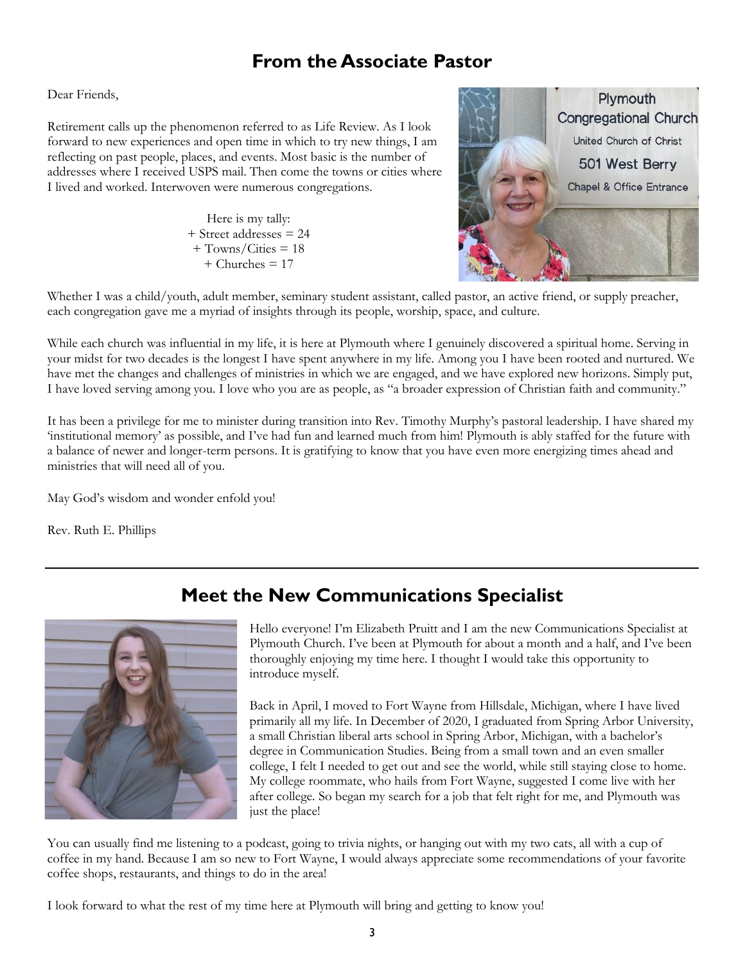### **From the Associate Pastor**

Dear Friends,

Retirement calls up the phenomenon referred to as Life Review. As I look forward to new experiences and open time in which to try new things, I am reflecting on past people, places, and events. Most basic is the number of addresses where I received USPS mail. Then come the towns or cities where I lived and worked. Interwoven were numerous congregations.

> Here is my tally: + Street addresses = 24  $+$  Towns/Cities = 18  $+$  Churches  $= 17$



Whether I was a child/youth, adult member, seminary student assistant, called pastor, an active friend, or supply preacher, each congregation gave me a myriad of insights through its people, worship, space, and culture.

While each church was influential in my life, it is here at Plymouth where I genuinely discovered a spiritual home. Serving in your midst for two decades is the longest I have spent anywhere in my life. Among you I have been rooted and nurtured. We have met the changes and challenges of ministries in which we are engaged, and we have explored new horizons. Simply put, I have loved serving among you. I love who you are as people, as "a broader expression of Christian faith and community."

It has been a privilege for me to minister during transition into Rev. Timothy Murphy's pastoral leadership. I have shared my 'institutional memory' as possible, and I've had fun and learned much from him! Plymouth is ably staffed for the future with a balance of newer and longer-term persons. It is gratifying to know that you have even more energizing times ahead and ministries that will need all of you.

May God's wisdom and wonder enfold you!

Rev. Ruth E. Phillips



**Meet the New Communications Specialist**

Hello everyone! I'm Elizabeth Pruitt and I am the new Communications Specialist at Plymouth Church. I've been at Plymouth for about a month and a half, and I've been thoroughly enjoying my time here. I thought I would take this opportunity to introduce myself.

Back in April, I moved to Fort Wayne from Hillsdale, Michigan, where I have lived primarily all my life. In December of 2020, I graduated from Spring Arbor University, a small Christian liberal arts school in Spring Arbor, Michigan, with a bachelor's degree in Communication Studies. Being from a small town and an even smaller college, I felt I needed to get out and see the world, while still staying close to home. My college roommate, who hails from Fort Wayne, suggested I come live with her after college. So began my search for a job that felt right for me, and Plymouth was just the place!

You can usually find me listening to a podcast, going to trivia nights, or hanging out with my two cats, all with a cup of coffee in my hand. Because I am so new to Fort Wayne, I would always appreciate some recommendations of your favorite coffee shops, restaurants, and things to do in the area!

I look forward to what the rest of my time here at Plymouth will bring and getting to know you!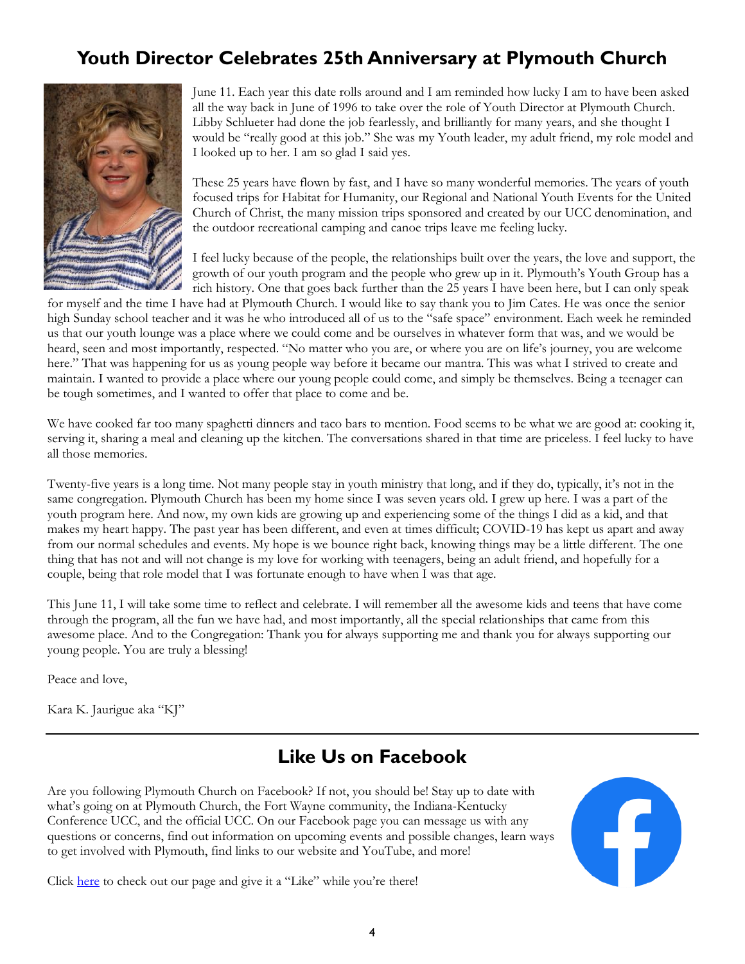# **Youth Director Celebrates 25th Anniversary at Plymouth Church**



June 11. Each year this date rolls around and I am reminded how lucky I am to have been asked all the way back in June of 1996 to take over the role of Youth Director at Plymouth Church. Libby Schlueter had done the job fearlessly, and brilliantly for many years, and she thought I would be "really good at this job." She was my Youth leader, my adult friend, my role model and I looked up to her. I am so glad I said yes.

These 25 years have flown by fast, and I have so many wonderful memories. The years of youth focused trips for Habitat for Humanity, our Regional and National Youth Events for the United Church of Christ, the many mission trips sponsored and created by our UCC denomination, and the outdoor recreational camping and canoe trips leave me feeling lucky.

I feel lucky because of the people, the relationships built over the years, the love and support, the growth of our youth program and the people who grew up in it. Plymouth's Youth Group has a rich history. One that goes back further than the 25 years I have been here, but I can only speak

for myself and the time I have had at Plymouth Church. I would like to say thank you to Jim Cates. He was once the senior high Sunday school teacher and it was he who introduced all of us to the "safe space" environment. Each week he reminded us that our youth lounge was a place where we could come and be ourselves in whatever form that was, and we would be heard, seen and most importantly, respected. "No matter who you are, or where you are on life's journey, you are welcome here." That was happening for us as young people way before it became our mantra. This was what I strived to create and maintain. I wanted to provide a place where our young people could come, and simply be themselves. Being a teenager can be tough sometimes, and I wanted to offer that place to come and be.

We have cooked far too many spaghetti dinners and taco bars to mention. Food seems to be what we are good at: cooking it, serving it, sharing a meal and cleaning up the kitchen. The conversations shared in that time are priceless. I feel lucky to have all those memories.

Twenty-five years is a long time. Not many people stay in youth ministry that long, and if they do, typically, it's not in the same congregation. Plymouth Church has been my home since I was seven years old. I grew up here. I was a part of the youth program here. And now, my own kids are growing up and experiencing some of the things I did as a kid, and that makes my heart happy. The past year has been different, and even at times difficult; COVID-19 has kept us apart and away from our normal schedules and events. My hope is we bounce right back, knowing things may be a little different. The one thing that has not and will not change is my love for working with teenagers, being an adult friend, and hopefully for a couple, being that role model that I was fortunate enough to have when I was that age.

This June 11, I will take some time to reflect and celebrate. I will remember all the awesome kids and teens that have come through the program, all the fun we have had, and most importantly, all the special relationships that came from this awesome place. And to the Congregation: Thank you for always supporting me and thank you for always supporting our young people. You are truly a blessing!

Peace and love,

Kara K. Jaurigue aka "KJ"

# **Like Us on Facebook**

Are you following Plymouth Church on Facebook? If not, you should be! Stay up to date with what's going on at Plymouth Church, the Fort Wayne community, the Indiana-Kentucky Conference UCC, and the official UCC. On our Facebook page you can message us with any questions or concerns, find out information on upcoming events and possible changes, learn ways to get involved with Plymouth, find links to our website and YouTube, and more!



Click [here](https://www.facebook.com/plymouthfw) to check out our page and give it a "Like" while you're there!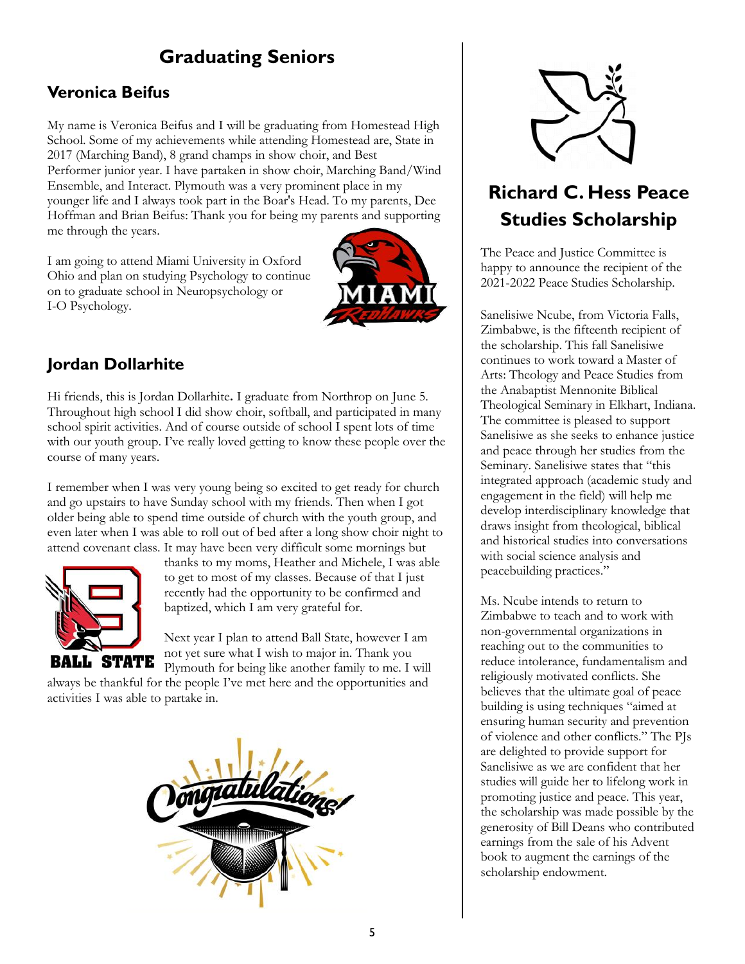# **Graduating Seniors**

#### **Veronica Beifus**

My name is Veronica Beifus and I will be graduating from Homestead High School. Some of my achievements while attending Homestead are, State in 2017 (Marching Band), 8 grand champs in show choir, and Best Performer junior year. I have partaken in show choir, Marching Band/Wind Ensemble, and Interact. Plymouth was a very prominent place in my younger life and I always took part in the Boar's Head. To my parents, Dee Hoffman and Brian Beifus: Thank you for being my parents and supporting me through the years.

I am going to attend Miami University in Oxford Ohio and plan on studying Psychology to continue on to graduate school in Neuropsychology or I-O Psychology.



#### **Jordan Dollarhite**

Hi friends, this is Jordan Dollarhite**.** I graduate from Northrop on June 5. Throughout high school I did show choir, softball, and participated in many school spirit activities. And of course outside of school I spent lots of time with our youth group. I've really loved getting to know these people over the course of many years.

I remember when I was very young being so excited to get ready for church and go upstairs to have Sunday school with my friends. Then when I got older being able to spend time outside of church with the youth group, and even later when I was able to roll out of bed after a long show choir night to attend covenant class. It may have been very difficult some mornings but



thanks to my moms, Heather and Michele, I was able to get to most of my classes. Because of that I just recently had the opportunity to be confirmed and baptized, which I am very grateful for.

Next year I plan to attend Ball State, however I am not yet sure what I wish to major in. Thank you Plymouth for being like another family to me. I will

always be thankful for the people I've met here and the opportunities and activities I was able to partake in.





# **Richard C. Hess Peace Studies Scholarship**

The Peace and Justice Committee is happy to announce the recipient of the 2021-2022 Peace Studies Scholarship.

Sanelisiwe Ncube, from Victoria Falls, Zimbabwe, is the fifteenth recipient of the scholarship. This fall Sanelisiwe continues to work toward a Master of Arts: Theology and Peace Studies from the Anabaptist Mennonite Biblical Theological Seminary in Elkhart, Indiana. The committee is pleased to support Sanelisiwe as she seeks to enhance justice and peace through her studies from the Seminary. Sanelisiwe states that "this integrated approach (academic study and engagement in the field) will help me develop interdisciplinary knowledge that draws insight from theological, biblical and historical studies into conversations with social science analysis and peacebuilding practices."

Ms. Ncube intends to return to Zimbabwe to teach and to work with non-governmental organizations in reaching out to the communities to reduce intolerance, fundamentalism and religiously motivated conflicts. She believes that the ultimate goal of peace building is using techniques "aimed at ensuring human security and prevention of violence and other conflicts." The PJs are delighted to provide support for Sanelisiwe as we are confident that her studies will guide her to lifelong work in promoting justice and peace. This year, the scholarship was made possible by the generosity of Bill Deans who contributed earnings from the sale of his Advent book to augment the earnings of the scholarship endowment.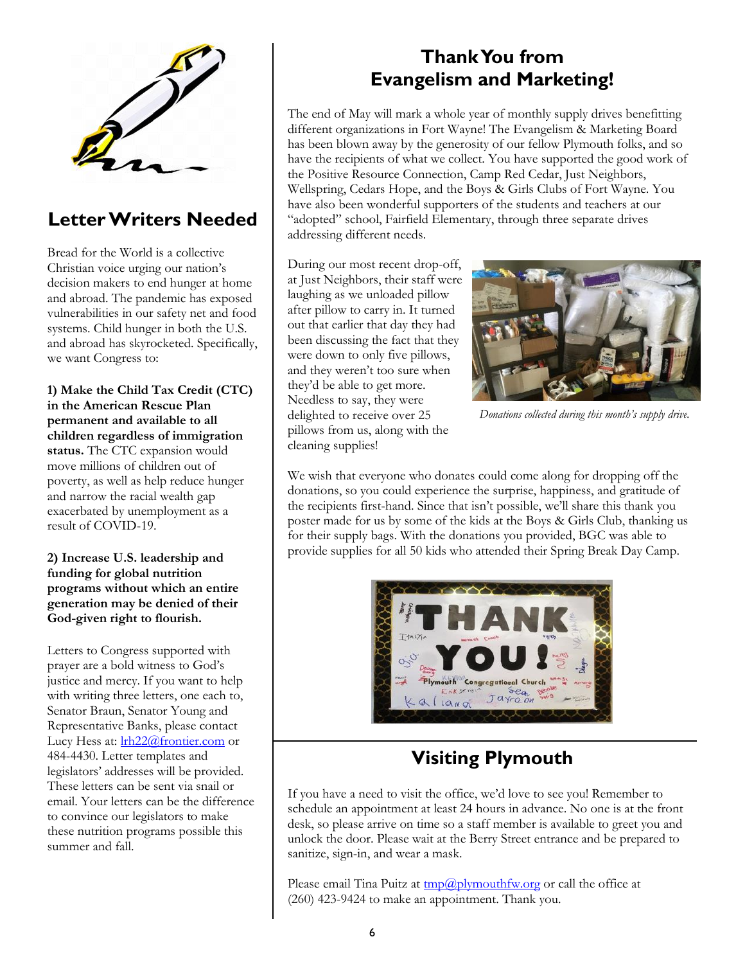

# **Letter Writers Needed**

Bread for the World is a collective Christian voice urging our nation's decision makers to end hunger at home and abroad. The pandemic has exposed vulnerabilities in our safety net and food systems. Child hunger in both the U.S. and abroad has skyrocketed. Specifically, we want Congress to:

**1) Make the Child Tax Credit (CTC) in the American Rescue Plan permanent and available to all children regardless of immigration status.** The CTC expansion would move millions of children out of poverty, as well as help reduce hunger and narrow the racial wealth gap exacerbated by unemployment as a result of COVID-19.

**2) Increase U.S. leadership and funding for global nutrition programs without which an entire generation may be denied of their God-given right to flourish.**

Letters to Congress supported with prayer are a bold witness to God's justice and mercy. If you want to help with writing three letters, one each to, Senator Braun, Senator Young and Representative Banks, please contact Lucy Hess at: **lrh22@frontier.com** or 484-4430. Letter templates and legislators' addresses will be provided. These letters can be sent via snail or email. Your letters can be the difference to convince our legislators to make these nutrition programs possible this summer and fall.

### **Thank You from Evangelism and Marketing!**

The end of May will mark a whole year of monthly supply drives benefitting different organizations in Fort Wayne! The Evangelism & Marketing Board has been blown away by the generosity of our fellow Plymouth folks, and so have the recipients of what we collect. You have supported the good work of the Positive Resource Connection, Camp Red Cedar, Just Neighbors, Wellspring, Cedars Hope, and the Boys & Girls Clubs of Fort Wayne. You have also been wonderful supporters of the students and teachers at our "adopted" school, Fairfield Elementary, through three separate drives addressing different needs.

During our most recent drop-off, at Just Neighbors, their staff were laughing as we unloaded pillow after pillow to carry in. It turned out that earlier that day they had been discussing the fact that they were down to only five pillows, and they weren't too sure when they'd be able to get more. Needless to say, they were delighted to receive over 25 pillows from us, along with the cleaning supplies!



*Donations collected during this month's supply drive.*

We wish that everyone who donates could come along for dropping off the donations, so you could experience the surprise, happiness, and gratitude of the recipients first-hand. Since that isn't possible, we'll share this thank you poster made for us by some of the kids at the Boys & Girls Club, thanking us for their supply bags. With the donations you provided, BGC was able to provide supplies for all 50 kids who attended their Spring Break Day Camp.



# **Visiting Plymouth**

If you have a need to visit the office, we'd love to see you! Remember to schedule an appointment at least 24 hours in advance. No one is at the front desk, so please arrive on time so a staff member is available to greet you and unlock the door. Please wait at the Berry Street entrance and be prepared to sanitize, sign-in, and wear a mask.

Please email Tina Puitz at  $\text{tmp@plymouthfw.org}$  or call the office at (260) 423-9424 to make an appointment. Thank you.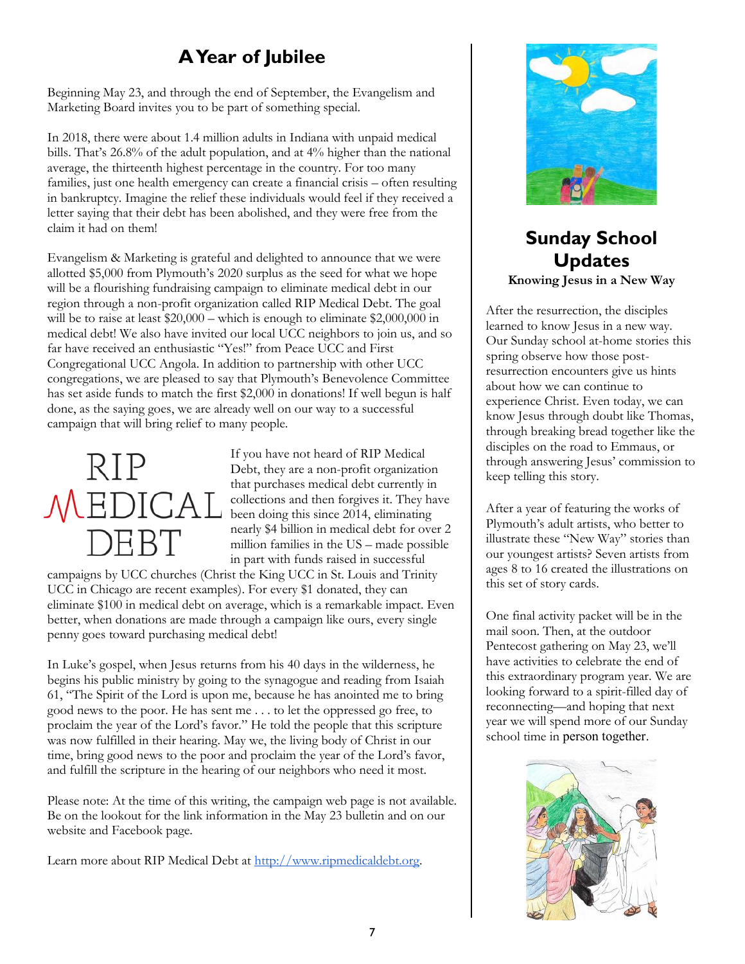# **A Year of Jubilee**

Beginning May 23, and through the end of September, the Evangelism and Marketing Board invites you to be part of something special.

In 2018, there were about 1.4 million adults in Indiana with unpaid medical bills. That's 26.8% of the adult population, and at 4% higher than the national average, the thirteenth highest percentage in the country. For too many families, just one health emergency can create a financial crisis – often resulting in bankruptcy. Imagine the relief these individuals would feel if they received a letter saying that their debt has been abolished, and they were free from the claim it had on them!

Evangelism & Marketing is grateful and delighted to announce that we were allotted \$5,000 from Plymouth's 2020 surplus as the seed for what we hope will be a flourishing fundraising campaign to eliminate medical debt in our region through a non-profit organization called RIP Medical Debt. The goal will be to raise at least \$20,000 – which is enough to eliminate \$2,000,000 in medical debt! We also have invited our local UCC neighbors to join us, and so far have received an enthusiastic "Yes!" from Peace UCC and First Congregational UCC Angola. In addition to partnership with other UCC congregations, we are pleased to say that Plymouth's Benevolence Committee has set aside funds to match the first \$2,000 in donations! If well begun is half done, as the saying goes, we are already well on our way to a successful campaign that will bring relief to many people.



If you have not heard of RIP Medical Debt, they are a non-profit organization that purchases medical debt currently in collections and then forgives it. They have been doing this since 2014, eliminating nearly \$4 billion in medical debt for over 2 million families in the US – made possible in part with funds raised in successful

campaigns by UCC churches (Christ the King UCC in St. Louis and Trinity UCC in Chicago are recent examples). For every \$1 donated, they can eliminate \$100 in medical debt on average, which is a remarkable impact. Even better, when donations are made through a campaign like ours, every single penny goes toward purchasing medical debt!

In Luke's gospel, when Jesus returns from his 40 days in the wilderness, he begins his public ministry by going to the synagogue and reading from Isaiah 61, "The Spirit of the Lord is upon me, because he has anointed me to bring good news to the poor. He has sent me . . . to let the oppressed go free, to proclaim the year of the Lord's favor." He told the people that this scripture was now fulfilled in their hearing. May we, the living body of Christ in our time, bring good news to the poor and proclaim the year of the Lord's favor, and fulfill the scripture in the hearing of our neighbors who need it most.

Please note: At the time of this writing, the campaign web page is not available. Be on the lookout for the link information in the May 23 bulletin and on our website and Facebook page.

Learn more about RIP Medical Debt at [http://www.ripmedicaldebt.org.](http://www.ripmedicaldebt.org/#stories)



#### **Sunday School Updates Knowing Jesus in a New Way**

After the resurrection, the disciples learned to know Jesus in a new way. Our Sunday school at-home stories this spring observe how those postresurrection encounters give us hints about how we can continue to experience Christ. Even today, we can know Jesus through doubt like Thomas, through breaking bread together like the disciples on the road to Emmaus, or through answering Jesus' commission to keep telling this story.

After a year of featuring the works of Plymouth's adult artists, who better to illustrate these "New Way" stories than our youngest artists? Seven artists from ages 8 to 16 created the illustrations on this set of story cards.

One final activity packet will be in the mail soon. Then, at the outdoor Pentecost gathering on May 23, we'll have activities to celebrate the end of this extraordinary program year. We are looking forward to a spirit-filled day of reconnecting—and hoping that next year we will spend more of our Sunday school time in person together.

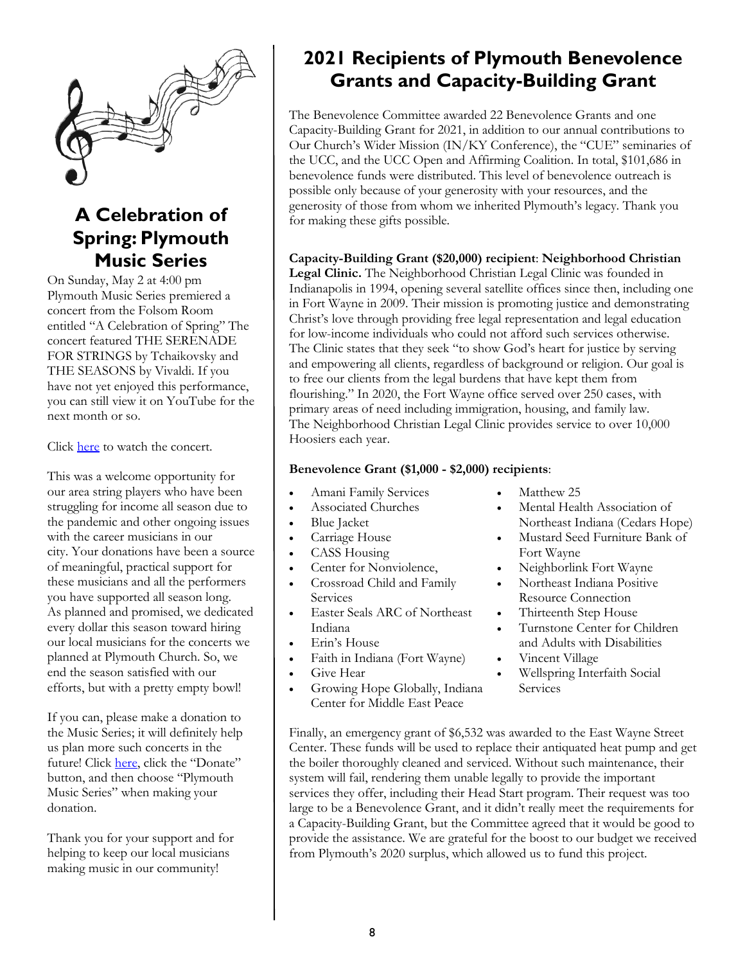

# **A Celebration of Spring: Plymouth Music Series**

On Sunday, May 2 at 4:00 pm Plymouth Music Series premiered a concert from the Folsom Room entitled "A Celebration of Spring" The concert featured THE SERENADE FOR STRINGS by Tchaikovsky and THE SEASONS by Vivaldi. If you have not yet enjoyed this performance, you can still view it on YouTube for the next month or so.

Click [here](https://www.youtube.com/watch?v=k-SDNOfz40c&t=6s) to watch the concert.

This was a welcome opportunity for our area string players who have been struggling for income all season due to the pandemic and other ongoing issues with the career musicians in our city. Your donations have been a source of meaningful, practical support for these musicians and all the performers you have supported all season long. As planned and promised, we dedicated every dollar this season toward hiring our local musicians for the concerts we planned at Plymouth Church. So, we end the season satisfied with our efforts, but with a pretty empty bowl!

If you can, please make a donation to the Music Series; it will definitely help us plan more such concerts in the future! Click [here](https://www.plymouthfw.org/donate), click the "Donate" button, and then choose "Plymouth Music Series" when making your donation.

Thank you for your support and for helping to keep our local musicians making music in our community!

# **2021 Recipients of Plymouth Benevolence Grants and Capacity-Building Grant**

The Benevolence Committee awarded 22 Benevolence Grants and one Capacity-Building Grant for 2021, in addition to our annual contributions to Our Church's Wider Mission (IN/KY Conference), the "CUE" seminaries of the UCC, and the UCC Open and Affirming Coalition. In total, \$101,686 in benevolence funds were distributed. This level of benevolence outreach is possible only because of your generosity with your resources, and the generosity of those from whom we inherited Plymouth's legacy. Thank you for making these gifts possible.

#### **Capacity-Building Grant (\$20,000) recipient**: **Neighborhood Christian**

**Legal Clinic.** The Neighborhood Christian Legal Clinic was founded in Indianapolis in 1994, opening several satellite offices since then, including one in Fort Wayne in 2009. Their mission is promoting justice and demonstrating Christ's love through providing free legal representation and legal education for low-income individuals who could not afford such services otherwise. The Clinic states that they seek "to show God's heart for justice by serving and empowering all clients, regardless of background or religion. Our goal is to free our clients from the legal burdens that have kept them from flourishing." In 2020, the Fort Wayne office served over 250 cases, with primary areas of need including immigration, housing, and family law. The Neighborhood Christian Legal Clinic provides service to over 10,000 Hoosiers each year.

#### **Benevolence Grant (\$1,000 - \$2,000) recipients**:

- Amani Family Services
- Associated Churches
- Blue Jacket
- Carriage House
- CASS Housing
- Center for Nonviolence,
- Crossroad Child and Family Services
- Easter Seals ARC of Northeast Indiana
- Erin's House
- Faith in Indiana (Fort Wayne)
- Give Hear
- Growing Hope Globally, Indiana Center for Middle East Peace
- Matthew 25
- Mental Health Association of Northeast Indiana (Cedars Hope)
- Mustard Seed Furniture Bank of Fort Wayne
- Neighborlink Fort Wayne
- Northeast Indiana Positive Resource Connection
- Thirteenth Step House
- Turnstone Center for Children and Adults with Disabilities
- Vincent Village
- Wellspring Interfaith Social Services

Finally, an emergency grant of \$6,532 was awarded to the East Wayne Street Center. These funds will be used to replace their antiquated heat pump and get the boiler thoroughly cleaned and serviced. Without such maintenance, their system will fail, rendering them unable legally to provide the important services they offer, including their Head Start program. Their request was too large to be a Benevolence Grant, and it didn't really meet the requirements for a Capacity-Building Grant, but the Committee agreed that it would be good to provide the assistance. We are grateful for the boost to our budget we received from Plymouth's 2020 surplus, which allowed us to fund this project.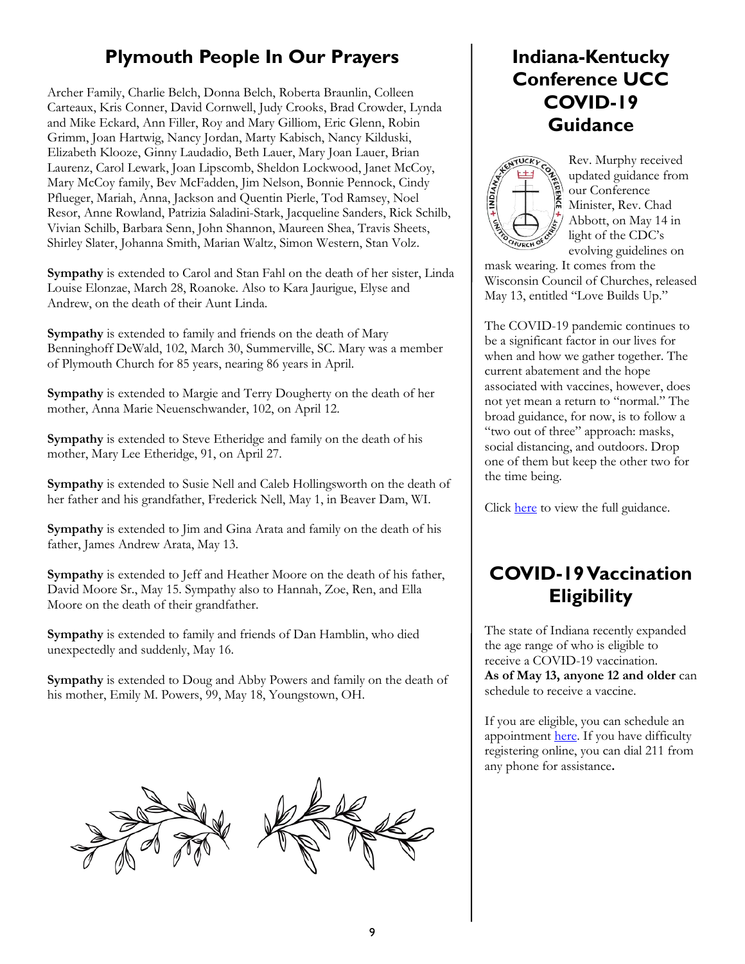# **Plymouth People In Our Prayers**

Archer Family, Charlie Belch, Donna Belch, Roberta Braunlin, Colleen Carteaux, Kris Conner, David Cornwell, Judy Crooks, Brad Crowder, Lynda and Mike Eckard, Ann Filler, Roy and Mary Gilliom, Eric Glenn, Robin Grimm, Joan Hartwig, Nancy Jordan, Marty Kabisch, Nancy Kilduski, Elizabeth Klooze, Ginny Laudadio, Beth Lauer, Mary Joan Lauer, Brian Laurenz, Carol Lewark, Joan Lipscomb, Sheldon Lockwood, Janet McCoy, Mary McCoy family, Bev McFadden, Jim Nelson, Bonnie Pennock, Cindy Pflueger, Mariah, Anna, Jackson and Quentin Pierle, Tod Ramsey, Noel Resor, Anne Rowland, Patrizia Saladini-Stark, Jacqueline Sanders, Rick Schilb, Vivian Schilb, Barbara Senn, John Shannon, Maureen Shea, Travis Sheets, Shirley Slater, Johanna Smith, Marian Waltz, Simon Western, Stan Volz.

**Sympathy** is extended to Carol and Stan Fahl on the death of her sister, Linda Louise Elonzae, March 28, Roanoke. Also to Kara Jaurigue, Elyse and Andrew, on the death of their Aunt Linda.

**Sympathy** is extended to family and friends on the death of Mary Benninghoff DeWald, 102, March 30, Summerville, SC. Mary was a member of Plymouth Church for 85 years, nearing 86 years in April.

**Sympathy** is extended to Margie and Terry Dougherty on the death of her mother, Anna Marie Neuenschwander, 102, on April 12.

**Sympathy** is extended to Steve Etheridge and family on the death of his mother, Mary Lee Etheridge, 91, on April 27.

**Sympathy** is extended to Susie Nell and Caleb Hollingsworth on the death of her father and his grandfather, Frederick Nell, May 1, in Beaver Dam, WI.

**Sympathy** is extended to Jim and Gina Arata and family on the death of his father, James Andrew Arata, May 13.

**Sympathy** is extended to Jeff and Heather Moore on the death of his father, David Moore Sr., May 15. Sympathy also to Hannah, Zoe, Ren, and Ella Moore on the death of their grandfather.

**Sympathy** is extended to family and friends of Dan Hamblin, who died unexpectedly and suddenly, May 16.

**Sympathy** is extended to Doug and Abby Powers and family on the death of his mother, Emily M. Powers, 99, May 18, Youngstown, OH.



# **Indiana-Kentucky Conference UCC COVID-19 Guidance**



Rev. Murphy received updated guidance from our Conference Minister, Rev. Chad Abbott, on May 14 in light of the CDC's evolving guidelines on

mask wearing. It comes from the Wisconsin Council of Churches, released May 13, entitled "Love Builds Up."

The COVID-19 pandemic continues to be a significant factor in our lives for when and how we gather together. The current abatement and the hope associated with vaccines, however, does not yet mean a return to "normal." The broad guidance, for now, is to follow a "two out of three" approach: masks, social distancing, and outdoors. Drop one of them but keep the other two for the time being.

Click [here](Rev.%20Murphy%20received%20updated%20guidance%20from%20our%20Conference%20Minister,%20Rev.%20Chad%20Abbott,%20on%20May%2014%20in%20light%20of%20the%20CDC’s%20evolving%20guidelines%20on%20mask%20wearing.%20It%20comes%20from%20the%20Wisconsin%20Council%20of%20C) to view the full guidance.

# **COVID-19 Vaccination Eligibility**

The state of Indiana recently expanded the age range of who is eligible to receive a COVID-19 vaccination. **As of May 13, anyone 12 and older** can schedule to receive a vaccine.

If you are eligible, you can schedule an appointment [here.](https://vaccine.coronavirus.in.gov/) If you have difficulty registering online, you can dial 211 from any phone for assistance**.**